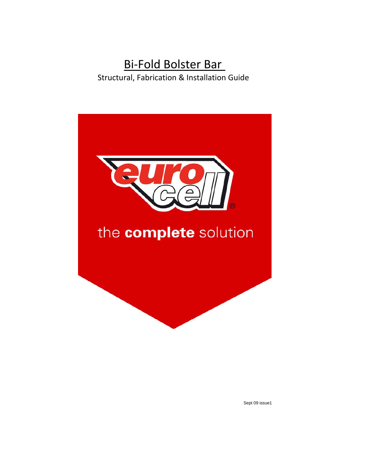# Bi-Fold Bolster Bar Structural, Fabrication & Installation Guide

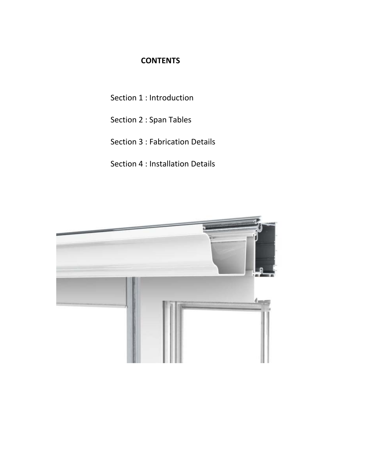### **CONTENTS**

Section 1 : Introduction

Section 2 : Span Tables

Section 3 : Fabrication Details

Section 4 : Installation Details

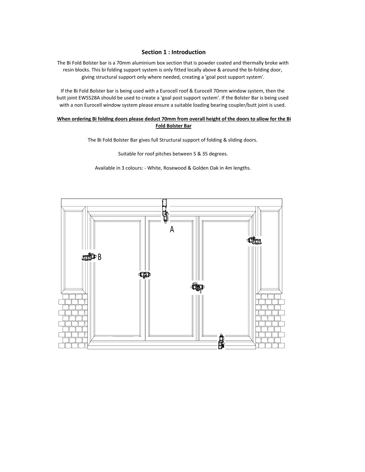#### **Section 1 : Introduction**

The Bi Fold Bolster bar is a 70mm aluminium box section that is powder coated and thermally broke with resin blocks. This bi folding support system is only fitted locally above & around the bi-folding door, giving structural support only where needed, creating a 'goal post support system'.

If the Bi Fold Bolster bar is being used with a Eurocell roof & Eurocell 70mm window system, then the butt joint EWS528A should be used to create a 'goal post support system'. If the Bolster Bar is being used with a non Eurocell window system please ensure a suitable loading bearing coupler/butt joint is used.

#### When ordering Bi folding doors please deduct 70mm from overall height of the doors to allow for the Bi **Fold Bolster Bar**

The Bi Fold Bolster Bar gives full Structural support of folding & sliding doors.

Suitable for roof pitches between 5 & 35 degrees.

Available in 3 colours: ‐ White, Rosewood & Golden Oak in 4m lengths.

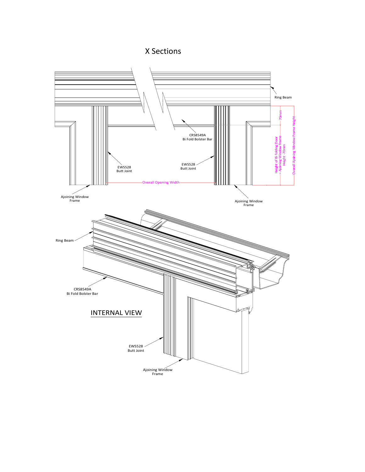## X Sections

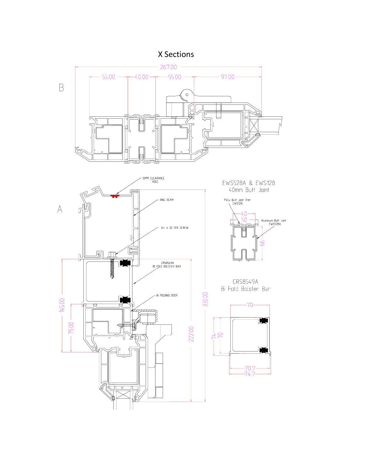## X Sections

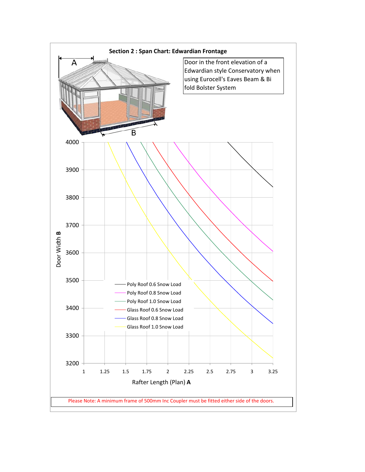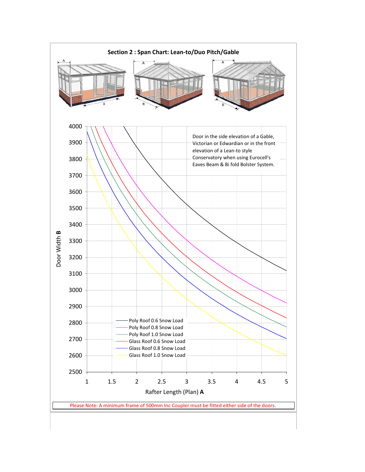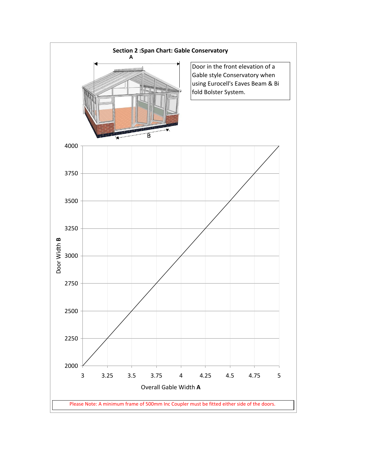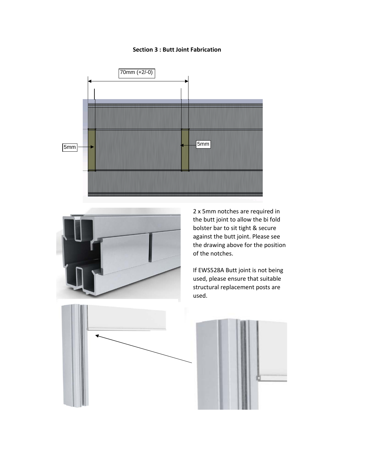### **Section 3 : Butt Joint Fabrication**





2 x 5mm notches are required in the butt joint to allow the bi fold bolster bar to sit tight & secure against the butt joint. Please see the drawing above for the position of the notches.

If EWS528A Butt joint is not being used, please ensure that suitable structural replacement posts are used.